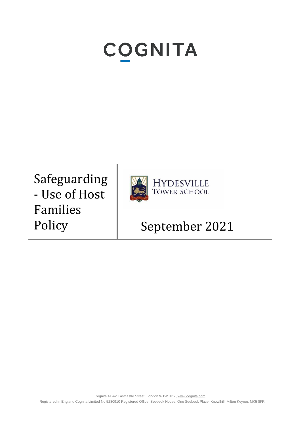# **COGNITA**

Safeguarding - Use of Host Families



HYDESVILLE<br>TOWER SCHOOL

## Policy | September 2021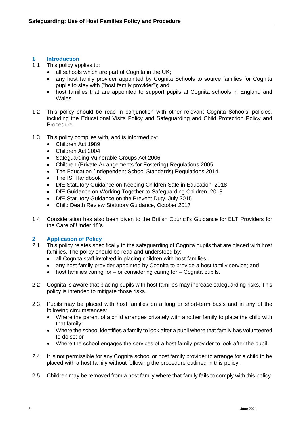### <span id="page-2-0"></span>**1 Introduction**

- This policy applies to:
	- all schools which are part of Cognita in the UK;
	- any host family provider appointed by Cognita Schools to source families for Cognita pupils to stay with ("host family provider"); and
	- host families that are appointed to support pupils at Cognita schools in England and Wales.
- 1.2 This policy should be read in conjunction with other relevant Cognita Schools' policies, including the Educational Visits Policy and Safeguarding and Child Protection Policy and Procedure.
- 1.3 This policy complies with, and is informed by:
	- Children Act 1989
	- Children Act 2004
	- Safeguarding Vulnerable Groups Act 2006
	- Children (Private Arrangements for Fostering) Regulations 2005
	- The Education (Independent School Standards) Regulations 2014
	- The ISI Handbook
	- DfE Statutory Guidance on Keeping Children Safe in Education, 2018
	- DfE Guidance on Working Together to Safeguarding Children, 2018
	- DfE Statutory Guidance on the Prevent Duty, July 2015
	- Child Death Review Statutory Guidance, October 2017
- 1.4 Consideration has also been given to the British Council's Guidance for ELT Providers for the Care of Under 18's.

#### <span id="page-2-1"></span>**2 Application of Policy**

- 2.1 This policy relates specifically to the safeguarding of Cognita pupils that are placed with host families. The policy should be read and understood by:
	- all Cognita staff involved in placing children with host families;
	- any host family provider appointed by Cognita to provide a host family service; and
	- host families caring for  $-$  or considering caring for  $-$  Cognita pupils.
- 2.2 Cognita is aware that placing pupils with host families may increase safeguarding risks. This policy is intended to mitigate those risks.
- 2.3 Pupils may be placed with host families on a long or short-term basis and in any of the following circumstances:
	- Where the parent of a child arranges privately with another family to place the child with that family;
	- Where the school identifies a family to look after a pupil where that family has volunteered to do so; or
	- Where the school engages the services of a host family provider to look after the pupil.
- 2.4 It is not permissible for any Cognita school or host family provider to arrange for a child to be placed with a host family without following the procedure outlined in this policy.
- 2.5 Children may be removed from a host family where that family fails to comply with this policy.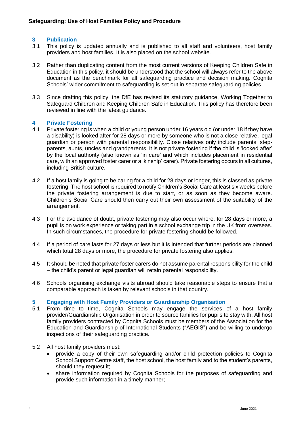#### <span id="page-3-0"></span>**3 Publication**

- 3.1 This policy is updated annually and is published to all staff and volunteers, host family providers and host families. It is also placed on the school website.
- 3.2 Rather than duplicating content from the most current versions of Keeping Children Safe in Education in this policy, it should be understood that the school will always refer to the above document as the benchmark for all safeguarding practice and decision making. Cognita Schools' wider commitment to safeguarding is set out in separate safeguarding policies.
- 3.3 Since drafting this policy, the DfE has revised its statutory guidance, Working Together to Safeguard Children and Keeping Children Safe in Education. This policy has therefore been reviewed in line with the latest guidance.

#### <span id="page-3-1"></span>**4 Private Fostering**

- 4.1 Private fostering is when a child or young person under 16 years old (or under 18 if they have a disability) is looked after for 28 days or more by someone who is not a close relative, legal guardian or person with parental responsibility. Close relatives only include parents, stepparents, aunts, uncles and grandparents. It is not private fostering if the child is 'looked after' by the local authority (also known as 'in care' and which includes placement in residential care, with an approved foster carer or a 'kinship' carer). Private fostering occurs in all cultures, including British culture.
- 4.2 If a host family is going to be caring for a child for 28 days or longer, this is classed as private fostering. The host school is required to notify Children's Social Care at least six weeks before the private fostering arrangement is due to start, or as soon as they become aware. Children's Social Care should then carry out their own assessment of the suitability of the arrangement.
- 4.3 For the avoidance of doubt, private fostering may also occur where, for 28 days or more, a pupil is on work experience or taking part in a school exchange trip in the UK from overseas. In such circumstances, the procedure for private fostering should be followed.
- 4.4 If a period of care lasts for 27 days or less but it is intended that further periods are planned which total 28 days or more, the procedure for private fostering also applies.
- 4.5 It should be noted that private foster carers do not assume parental responsibility for the child – the child's parent or legal guardian will retain parental responsibility.
- 4.6 Schools organising exchange visits abroad should take reasonable steps to ensure that a comparable approach is taken by relevant schools in that country.

#### <span id="page-3-2"></span>**5 Engaging with Host Family Providers or Guardianship Organisation**

- 5.1 From time to time, Cognita Schools may engage the services of a host family provider/Guardianship Organisation in order to source families for pupils to stay with. All host family providers contracted by Cognita Schools must be members of the Association for the Education and Guardianship of International Students ("AEGIS") and be willing to undergo inspections of their safeguarding practice.
- 5.2 All host family providers must:
	- provide a copy of their own safeguarding and/or child protection policies to Cognita School Support Centre staff, the host school, the host family and to the student's parents, should they request it;
	- share information required by Cognita Schools for the purposes of safeguarding and provide such information in a timely manner;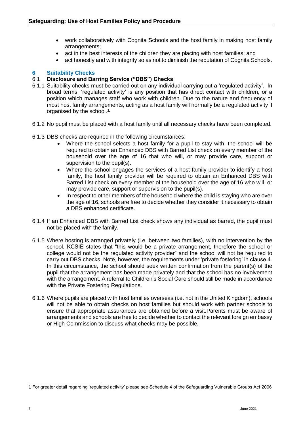- work collaboratively with Cognita Schools and the host family in making host family arrangements;
- act in the best interests of the children they are placing with host families; and
- act honestly and with integrity so as not to diminish the reputation of Cognita Schools.

#### <span id="page-4-0"></span>**6 Suitability Checks**

#### 6.1 **Disclosure and Barring Service ("DBS") Checks**

- 6.1.1 Suitability checks must be carried out on any individual carrying out a 'regulated activity'. In broad terms, 'regulated activity' is any position that has direct contact with children, or a position which manages staff who work with children. Due to the nature and frequency of most host family arrangements, acting as a host family will normally be a regulated activity if organised by the school.1
- 6.1.2 No pupil must be placed with a host family until all necessary checks have been completed.
- 6.1.3 DBS checks are required in the following circumstances:
	- Where the school selects a host family for a pupil to stay with, the school will be required to obtain an Enhanced DBS with Barred List check on every member of the household over the age of 16 that who will, or may provide care, support or supervision to the pupil(s).
	- Where the school engages the services of a host family provider to identify a host family, the host family provider will be required to obtain an Enhanced DBS with Barred List check on every member of the household over the age of 16 who will, or may provide care, support or supervision to the pupil(s).
	- In respect to other members of the household where the child is staying who are over the age of 16, schools are free to decide whether they consider it necessary to obtain a DBS enhanced certificate.
- 6.1.4 If an Enhanced DBS with Barred List check shows any individual as barred, the pupil must not be placed with the family.
- 6.1.5 Where hosting is arranged privately (i.e. between two families), with no intervention by the school, KCSIE states that "this would be a private arrangement, therefore the school or college would not be the regulated activity provider" and the school will not be required to carry out DBS checks. Note, however, the requirements under 'private fostering' in clause 4. In this circumstance, the school should seek written confirmation from the parent(s) of the pupil that the arrangement has been made privately and that the school has no involvement with the arrangement. A referral to Children's Social Care should still be made in accordance with the Private Fostering Regulations.
- 6.1.6 Where pupils are placed with host families overseas (i.e. not in the United Kingdom), schools will not be able to obtain checks on host families but should work with partner schools to ensure that appropriate assurances are obtained before a visit.Parents must be aware of arrangements and schools are free to decide whether to contact the relevant foreign embassy or High Commission to discuss what checks may be possible.

<sup>1</sup> For greater detail regarding 'regulated activity' please see Schedule 4 of the Safeguarding Vulnerable Groups Act 2006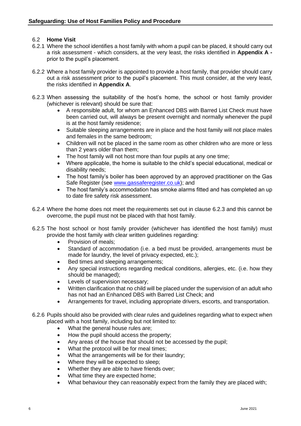#### 6.2 **Home Visit**

- 6.2.1 Where the school identifies a host family with whom a pupil can be placed, it should carry out a risk assessment - which considers, at the very least, the risks identified in **Appendix A**  prior to the pupil's placement.
- 6.2.2 Where a host family provider is appointed to provide a host family, that provider should carry out a risk assessment prior to the pupil's placement. This must consider, at the very least, the risks identified in **Appendix A**.
- 6.2.3 When assessing the suitability of the host's home, the school or host family provider (whichever is relevant) should be sure that:
	- A responsible adult, for whom an Enhanced DBS with Barred List Check must have been carried out, will always be present overnight and normally whenever the pupil is at the host family residence;
	- Suitable sleeping arrangements are in place and the host family will not place males and females in the same bedroom;
	- Children will not be placed in the same room as other children who are more or less than 2 years older than them;
	- The host family will not host more than four pupils at any one time;
	- Where applicable, the home is suitable to the child's special educational, medical or disability needs;
	- The host family's boiler has been approved by an approved practitioner on the Gas Safe Register (see [www.gassaferegister.co.uk\)](http://www.gassaferegister.co.uk/); and
	- The host family's accommodation has smoke alarms fitted and has completed an up to date fire safety risk assessment.
- 6.2.4 Where the home does not meet the requirements set out in clause 6.2.3 and this cannot be overcome, the pupil must not be placed with that host family.
- 6.2.5 The host school or host family provider (whichever has identified the host family) must provide the host family with clear written guidelines regarding:
	- Provision of meals;
	- Standard of accommodation (i.e. a bed must be provided, arrangements must be made for laundry, the level of privacy expected, etc.);
	- Bed times and sleeping arrangements;
	- Any special instructions regarding medical conditions, allergies, etc. (i.e. how they should be managed);
	- Levels of supervision necessary;
	- Written clarification that no child will be placed under the supervision of an adult who has not had an Enhanced DBS with Barred List Check; and
	- Arrangements for travel, including appropriate drivers, escorts, and transportation.
- 6.2.6 Pupils should also be provided with clear rules and guidelines regarding what to expect when placed with a host family, including but not limited to:
	- What the general house rules are;
	- How the pupil should access the property;
	- Any areas of the house that should not be accessed by the pupil;
	- What the protocol will be for meal times;
	- What the arrangements will be for their laundry;
	- Where they will be expected to sleep;
	- Whether they are able to have friends over:
	- What time they are expected home;
	- What behaviour they can reasonably expect from the family they are placed with;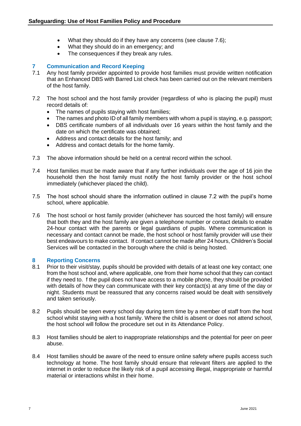- What they should do if they have any concerns (see clause 7.6);
- What they should do in an emergency; and
- The consequences if they break any rules.

#### <span id="page-6-0"></span>**7 Communication and Record Keeping**

- 7.1 Any host family provider appointed to provide host families must provide written notification that an Enhanced DBS with Barred List check has been carried out on the relevant members of the host family.
- 7.2 The host school and the host family provider (regardless of who is placing the pupil) must record details of:
	- The names of pupils staying with host families;
	- The names and photo ID of all family members with whom a pupil is staying, e.g. passport;
	- DBS certificate numbers of all individuals over 16 years within the host family and the date on which the certificate was obtained;
	- Address and contact details for the host family; and
	- Address and contact details for the home family.
- 7.3 The above information should be held on a central record within the school.
- 7.4 Host families must be made aware that if any further individuals over the age of 16 join the household then the host family must notify the host family provider or the host school immediately (whichever placed the child).
- 7.5 The host school should share the information outlined in clause 7.2 with the pupil's home school, where applicable.
- 7.6 The host school or host family provider (whichever has sourced the host family) will ensure that both they and the host family are given a telephone number or contact details to enable 24-hour contact with the parents or legal guardians of pupils. Where communication is necessary and contact cannot be made, the host school or host family provider will use their best endeavours to make contact. If contact cannot be made after 24 hours, Children's Social Services will be contacted in the borough where the child is being hosted.

#### <span id="page-6-1"></span>**8 Reporting Concerns**

- 8.1 Prior to their visit/stay, pupils should be provided with details of at least one key contact; one from the host school and, where applicable, one from their home school that they can contact if they need to. f the pupil does not have access to a mobile phone, they should be provided with details of how they can communicate with their key contact(s) at any time of the day or night. Students must be reassured that any concerns raised would be dealt with sensitively and taken seriously.
- 8.2 Pupils should be seen every school day during term time by a member of staff from the host school whilst staying with a host family. Where the child is absent or does not attend school, the host school will follow the procedure set out in its Attendance Policy.
- 8.3 Host families should be alert to inappropriate relationships and the potential for peer on peer abuse.
- 8.4 Host families should be aware of the need to ensure online safety where pupils access such technology at home. The host family should ensure that relevant filters are applied to the internet in order to reduce the likely risk of a pupil accessing illegal, inappropriate or harmful material or interactions whilst in their home.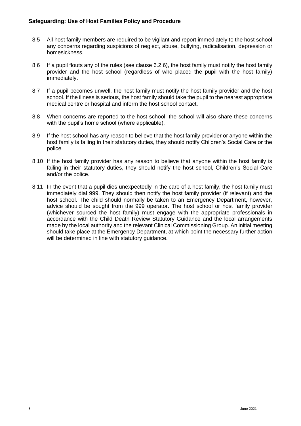- 8.5 All host family members are required to be vigilant and report immediately to the host school any concerns regarding suspicions of neglect, abuse, bullying, radicalisation, depression or homesickness.
- 8.6 If a pupil flouts any of the rules (see clause 6.2.6), the host family must notify the host family provider and the host school (regardless of who placed the pupil with the host family) immediately.
- 8.7 If a pupil becomes unwell, the host family must notify the host family provider and the host school. If the illness is serious, the host family should take the pupil to the nearest appropriate medical centre or hospital and inform the host school contact.
- 8.8 When concerns are reported to the host school, the school will also share these concerns with the pupil's home school (where applicable).
- 8.9 If the host school has any reason to believe that the host family provider or anyone within the host family is failing in their statutory duties, they should notify Children's Social Care or the police.
- 8.10 If the host family provider has any reason to believe that anyone within the host family is failing in their statutory duties, they should notify the host school, Children's Social Care and/or the police.
- 8.11 In the event that a pupil dies unexpectedly in the care of a host family, the host family must immediately dial 999. They should then notify the host family provider (if relevant) and the host school. The child should normally be taken to an Emergency Department, however, advice should be sought from the 999 operator. The host school or host family provider (whichever sourced the host family) must engage with the appropriate professionals in accordance with the Child Death Review Statutory Guidance and the local arrangements made by the local authority and the relevant Clinical Commissioning Group. An initial meeting should take place at the Emergency Department, at which point the necessary further action will be determined in line with statutory quidance.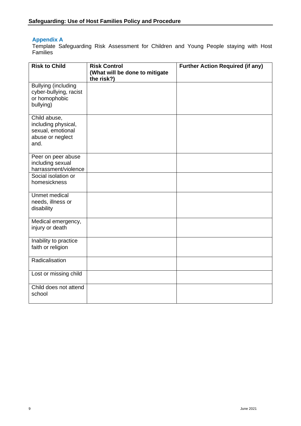#### <span id="page-8-0"></span>**Appendix A**

Template Safeguarding Risk Assessment for Children and Young People staying with Host Families

| <b>Risk to Child</b>                                                                 | <b>Risk Control</b><br>(What will be done to mitigate | <b>Further Action Required (if any)</b> |
|--------------------------------------------------------------------------------------|-------------------------------------------------------|-----------------------------------------|
| <b>Bullying (including</b><br>cyber-bullying, racist<br>or homophobic<br>bullying)   | the risk?)                                            |                                         |
| Child abuse,<br>including physical,<br>sexual, emotional<br>abuse or neglect<br>and. |                                                       |                                         |
| Peer on peer abuse<br>including sexual<br>harrassment/violence                       |                                                       |                                         |
| Social isolation or<br>homesickness                                                  |                                                       |                                         |
| Unmet medical<br>needs, illness or<br>disability                                     |                                                       |                                         |
| Medical emergency,<br>injury or death                                                |                                                       |                                         |
| Inability to practice<br>faith or religion                                           |                                                       |                                         |
| Radicalisation                                                                       |                                                       |                                         |
| Lost or missing child                                                                |                                                       |                                         |
| Child does not attend<br>school                                                      |                                                       |                                         |